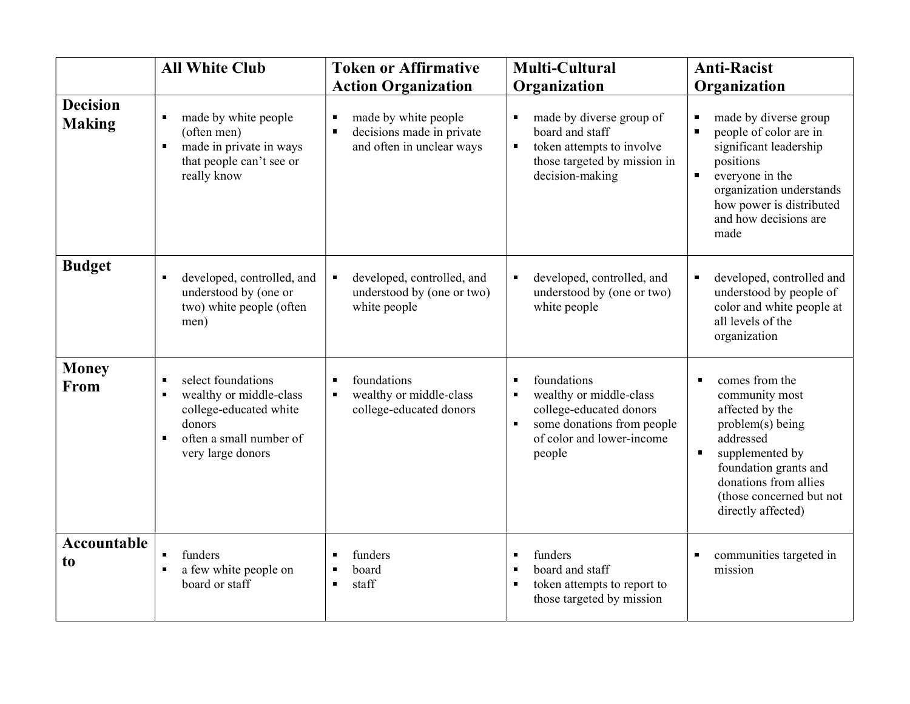|                                  | <b>All White Club</b>                                                                                                                                                      | <b>Token or Affirmative</b>                                                                           | <b>Multi-Cultural</b>                                                                                                                                                                        | <b>Anti-Racist</b>                                                                                                                                                                                                                              |
|----------------------------------|----------------------------------------------------------------------------------------------------------------------------------------------------------------------------|-------------------------------------------------------------------------------------------------------|----------------------------------------------------------------------------------------------------------------------------------------------------------------------------------------------|-------------------------------------------------------------------------------------------------------------------------------------------------------------------------------------------------------------------------------------------------|
|                                  |                                                                                                                                                                            | <b>Action Organization</b>                                                                            | Organization                                                                                                                                                                                 | Organization                                                                                                                                                                                                                                    |
| <b>Decision</b><br><b>Making</b> | made by white people<br>п<br>(often men)<br>made in private in ways<br>П<br>that people can't see or<br>really know                                                        | made by white people<br>Ξ<br>decisions made in private<br>$\blacksquare$<br>and often in unclear ways | made by diverse group of<br>$\blacksquare$<br>board and staff<br>token attempts to involve<br>$\blacksquare$<br>those targeted by mission in<br>decision-making                              | made by diverse group<br>п<br>people of color are in<br>significant leadership<br>positions<br>everyone in the<br>$\blacksquare$<br>organization understands<br>how power is distributed<br>and how decisions are<br>made                       |
| <b>Budget</b>                    | developed, controlled, and<br>$\blacksquare$<br>understood by (one or<br>two) white people (often<br>men)                                                                  | $\blacksquare$<br>developed, controlled, and<br>understood by (one or two)<br>white people            | developed, controlled, and<br>$\blacksquare$<br>understood by (one or two)<br>white people                                                                                                   | developed, controlled and<br>$\blacksquare$<br>understood by people of<br>color and white people at<br>all levels of the<br>organization                                                                                                        |
| <b>Money</b><br>From             | select foundations<br>п<br>wealthy or middle-class<br>$\blacksquare$<br>college-educated white<br>donors<br>often a small number of<br>$\blacksquare$<br>very large donors | foundations<br>$\blacksquare$<br>wealthy or middle-class<br>$\blacksquare$<br>college-educated donors | foundations<br>$\blacksquare$<br>wealthy or middle-class<br>$\blacksquare$<br>college-educated donors<br>some donations from people<br>$\blacksquare$<br>of color and lower-income<br>people | comes from the<br>$\blacksquare$<br>community most<br>affected by the<br>problem(s) being<br>addressed<br>supplemented by<br>$\blacksquare$<br>foundation grants and<br>donations from allies<br>(those concerned but not<br>directly affected) |
| <b>Accountable</b><br>to         | funders<br>п<br>a few white people on<br>П<br>board or staff                                                                                                               | funders<br>board<br>п<br>staff<br>$\blacksquare$                                                      | funders<br>п<br>board and staff<br>$\blacksquare$<br>token attempts to report to<br>$\blacksquare$<br>those targeted by mission                                                              | communities targeted in<br>mission                                                                                                                                                                                                              |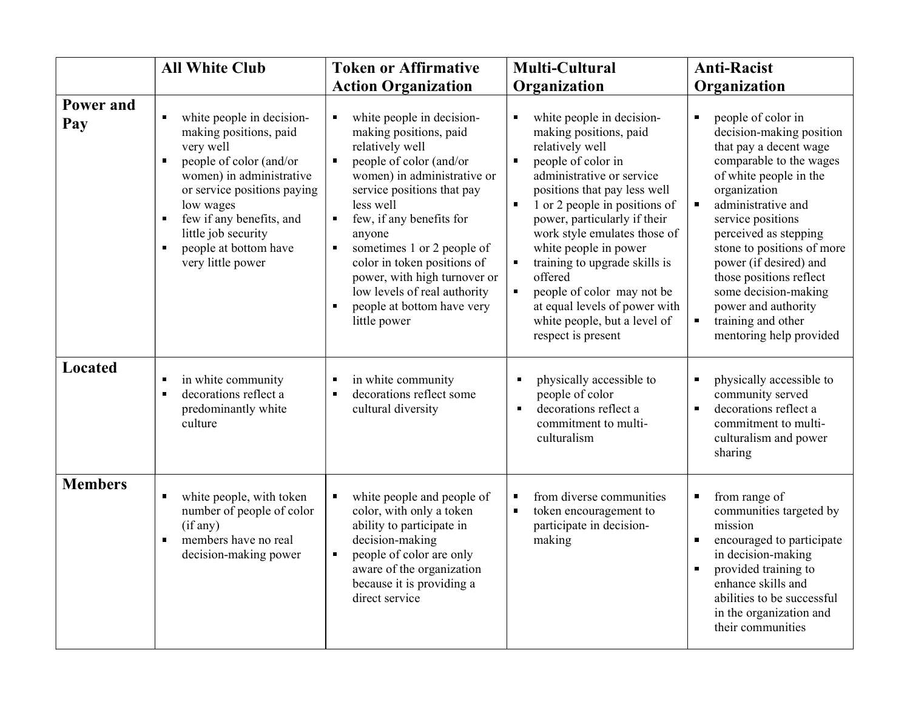|                  | <b>All White Club</b>                                                                                                                                                                                                                                                                                                                        | <b>Token or Affirmative</b>                                                                                                                                                                                                                                                                                                                                                                                                                                               | <b>Multi-Cultural</b>                                                                                                                                                                                                                                                                                                                                                                                                                                                                                                                          | <b>Anti-Racist</b>                                                                                                                                                                                                                                                                                                                                                                                                                                         |
|------------------|----------------------------------------------------------------------------------------------------------------------------------------------------------------------------------------------------------------------------------------------------------------------------------------------------------------------------------------------|---------------------------------------------------------------------------------------------------------------------------------------------------------------------------------------------------------------------------------------------------------------------------------------------------------------------------------------------------------------------------------------------------------------------------------------------------------------------------|------------------------------------------------------------------------------------------------------------------------------------------------------------------------------------------------------------------------------------------------------------------------------------------------------------------------------------------------------------------------------------------------------------------------------------------------------------------------------------------------------------------------------------------------|------------------------------------------------------------------------------------------------------------------------------------------------------------------------------------------------------------------------------------------------------------------------------------------------------------------------------------------------------------------------------------------------------------------------------------------------------------|
|                  |                                                                                                                                                                                                                                                                                                                                              | <b>Action Organization</b>                                                                                                                                                                                                                                                                                                                                                                                                                                                | Organization                                                                                                                                                                                                                                                                                                                                                                                                                                                                                                                                   | Organization                                                                                                                                                                                                                                                                                                                                                                                                                                               |
| Power and<br>Pay | white people in decision-<br>$\blacksquare$<br>making positions, paid<br>very well<br>people of color (and/or<br>$\blacksquare$<br>women) in administrative<br>or service positions paying<br>low wages<br>few if any benefits, and<br>$\blacksquare$<br>little job security<br>people at bottom have<br>$\blacksquare$<br>very little power | white people in decision-<br>$\blacksquare$<br>making positions, paid<br>relatively well<br>people of color (and/or<br>П<br>women) in administrative or<br>service positions that pay<br>less well<br>few, if any benefits for<br>$\blacksquare$<br>anyone<br>sometimes 1 or 2 people of<br>$\blacksquare$<br>color in token positions of<br>power, with high turnover or<br>low levels of real authority<br>people at bottom have very<br>$\blacksquare$<br>little power | white people in decision-<br>$\blacksquare$<br>making positions, paid<br>relatively well<br>people of color in<br>$\blacksquare$<br>administrative or service<br>positions that pay less well<br>1 or 2 people in positions of<br>$\blacksquare$<br>power, particularly if their<br>work style emulates those of<br>white people in power<br>training to upgrade skills is<br>$\blacksquare$<br>offered<br>$\blacksquare$<br>people of color may not be<br>at equal levels of power with<br>white people, but a level of<br>respect is present | people of color in<br>$\blacksquare$<br>decision-making position<br>that pay a decent wage<br>comparable to the wages<br>of white people in the<br>organization<br>administrative and<br>$\blacksquare$<br>service positions<br>perceived as stepping<br>stone to positions of more<br>power (if desired) and<br>those positions reflect<br>some decision-making<br>power and authority<br>training and other<br>$\blacksquare$<br>mentoring help provided |
| <b>Located</b>   | in white community<br>$\blacksquare$<br>decorations reflect a<br>$\blacksquare$<br>predominantly white<br>culture                                                                                                                                                                                                                            | in white community<br>П<br>decorations reflect some<br>$\blacksquare$<br>cultural diversity                                                                                                                                                                                                                                                                                                                                                                               | physically accessible to<br>D<br>people of color<br>decorations reflect a<br>$\blacksquare$<br>commitment to multi-<br>culturalism                                                                                                                                                                                                                                                                                                                                                                                                             | physically accessible to<br>п<br>community served<br>decorations reflect a<br>commitment to multi-<br>culturalism and power<br>sharing                                                                                                                                                                                                                                                                                                                     |
| <b>Members</b>   | white people, with token<br>$\blacksquare$<br>number of people of color<br>(if any)<br>members have no real<br>$\blacksquare$<br>decision-making power                                                                                                                                                                                       | white people and people of<br>$\blacksquare$<br>color, with only a token<br>ability to participate in<br>decision-making<br>people of color are only<br>$\blacksquare$<br>aware of the organization<br>because it is providing a<br>direct service                                                                                                                                                                                                                        | from diverse communities<br>$\blacksquare$<br>token encouragement to<br>$\blacksquare$<br>participate in decision-<br>making                                                                                                                                                                                                                                                                                                                                                                                                                   | from range of<br>communities targeted by<br>mission<br>encouraged to participate<br>$\blacksquare$<br>in decision-making<br>provided training to<br>enhance skills and<br>abilities to be successful<br>in the organization and<br>their communities                                                                                                                                                                                                       |